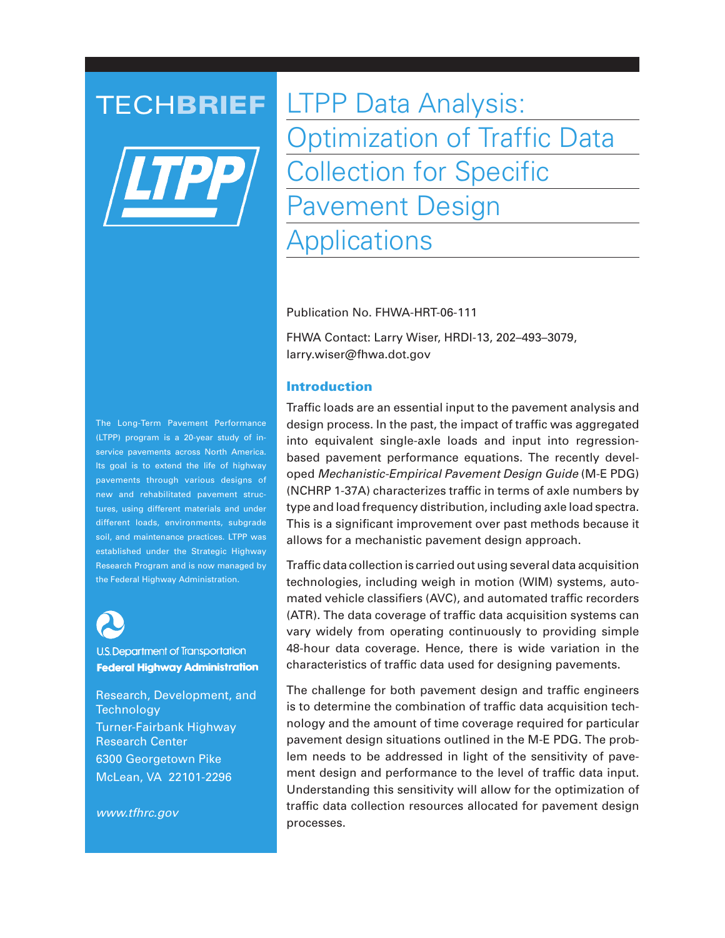

**TECHBRIEF** LTPP Data Analysis: Optimization of Traffic Data Collection for Specific Pavement Design **Applications** 

Publication No. FHWA-HRT-06-111

FHWA Contact: Larry Wiser, HRDI-13, 202–493–3079, larry.wiser@fhwa.dot.gov

## **Introduction**

Traffic loads are an essential input to the pavement analysis and design process. In the past, the impact of traffic was aggregated into equivalent single-axle loads and input into regressionbased pavement performance equations. The recently developed Mechanistic-Empirical Pavement Design Guide (M-E PDG) (NCHRP 1-37A) characterizes traffic in terms of axle numbers by type and load frequency distribution, including axle load spectra. This is a significant improvement over past methods because it allows for a mechanistic pavement design approach.

Traffic data collection is carried out using several data acquisition technologies, including weigh in motion (WIM) systems, automated vehicle classifiers (AVC), and automated traffic recorders (ATR). The data coverage of traffic data acquisition systems can vary widely from operating continuously to providing simple 48-hour data coverage. Hence, there is wide variation in the characteristics of traffic data used for designing pavements.

The challenge for both pavement design and traffic engineers is to determine the combination of traffic data acquisition technology and the amount of time coverage required for particular pavement design situations outlined in the M-E PDG. The problem needs to be addressed in light of the sensitivity of pavement design and performance to the level of traffic data input. Understanding this sensitivity will allow for the optimization of traffic data collection resources allocated for pavement design processes.

The Long-Term Pavement Performance (LTPP) program is a 20-year study of inservice pavements across North America. Its goal is to extend the life of highway pavements through various designs of new and rehabilitated pavement structures, using different materials and under different loads, environments, subgrade soil, and maintenance practices. LTPP was established under the Strategic Highway Research Program and is now managed by the Federal Highway Administration.



**U.S. Department of Transportation Federal Highway Administration** 

Research, Development, and **Technology** Turner-Fairbank Highway Research Center 6300 Georgetown Pike McLean, VA 22101-2296

www.tfhrc.gov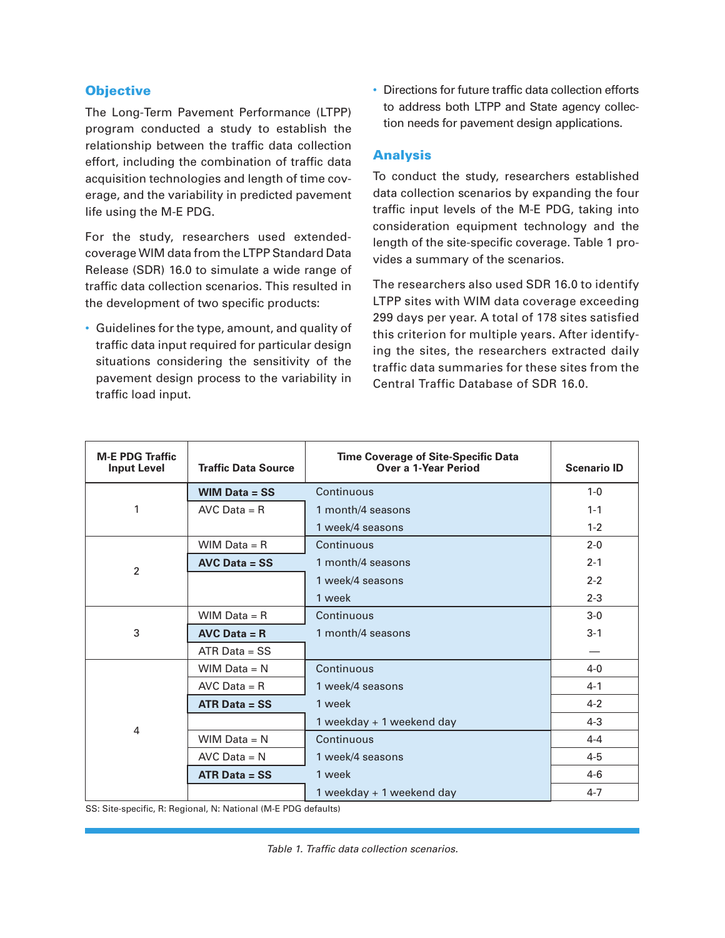# **Objective**

The Long-Term Pavement Performance (LTPP) program conducted a study to establish the relationship between the traffic data collection effort, including the combination of traffic data acquisition technologies and length of time coverage, and the variability in predicted pavement life using the M-E PDG.

For the study, researchers used extendedcoverage WIM data from the LTPP Standard Data Release (SDR) 16.0 to simulate a wide range of traffic data collection scenarios. This resulted in the development of two specific products:

• Guidelines for the type, amount, and quality of traffic data input required for particular design situations considering the sensitivity of the pavement design process to the variability in traffic load input.

• Directions for future traffic data collection efforts to address both LTPP and State agency collection needs for pavement design applications.

## Analysis

To conduct the study, researchers established data collection scenarios by expanding the four traffic input levels of the M-E PDG, taking into consideration equipment technology and the length of the site-specific coverage. Table 1 provides a summary of the scenarios.

The researchers also used SDR 16.0 to identify LTPP sites with WIM data coverage exceeding 299 days per year. A total of 178 sites satisfied this criterion for multiple years. After identifying the sites, the researchers extracted daily traffic data summaries for these sites from the Central Traffic Database of SDR 16.0.

| <b>M-E PDG Traffic</b><br><b>Input Level</b> | <b>Traffic Data Source</b> | <b>Time Coverage of Site-Specific Data</b><br>Over a 1-Year Period | <b>Scenario ID</b> |
|----------------------------------------------|----------------------------|--------------------------------------------------------------------|--------------------|
| 1                                            | WIM Data $=$ SS            | Continuous                                                         | $1 - 0$            |
|                                              | $AVC Data = R$             | 1 month/4 seasons                                                  | $1 - 1$            |
|                                              |                            | 1 week/4 seasons                                                   | $1 - 2$            |
| $\overline{2}$                               | WIM Data $=$ R             | Continuous                                                         | $2 - 0$            |
|                                              | $AVC Data = SS$            | 1 month/4 seasons                                                  | $2 - 1$            |
|                                              |                            | 1 week/4 seasons                                                   | $2 - 2$            |
|                                              |                            | 1 week                                                             | $2 - 3$            |
| 3                                            | WIM Data $=$ R             | Continuous                                                         | $3-0$              |
|                                              | $AVC Data = R$             | 1 month/4 seasons                                                  | $3 - 1$            |
|                                              | $ATR Data = SS$            |                                                                    |                    |
| 4                                            | WIM Data = $N$             | Continuous                                                         | $4 - 0$            |
|                                              | $AVC Data = R$             | 1 week/4 seasons                                                   | $4 - 1$            |
|                                              | $ATR Data = SS$            | 1 week                                                             | $4 - 2$            |
|                                              |                            | 1 weekday + 1 weekend day                                          | $4 - 3$            |
|                                              | WIM Data $= N$             | Continuous                                                         | $4 - 4$            |
|                                              | $AVC Data = N$             | 1 week/4 seasons                                                   | $4 - 5$            |
|                                              | $ATR Data = SS$            | 1 week                                                             | $4-6$              |
|                                              |                            | 1 weekday + 1 weekend day                                          | $4 - 7$            |

SS: Site-specific, R: Regional, N: National (M-E PDG defaults)

Table 1. Traffic data collection scenarios.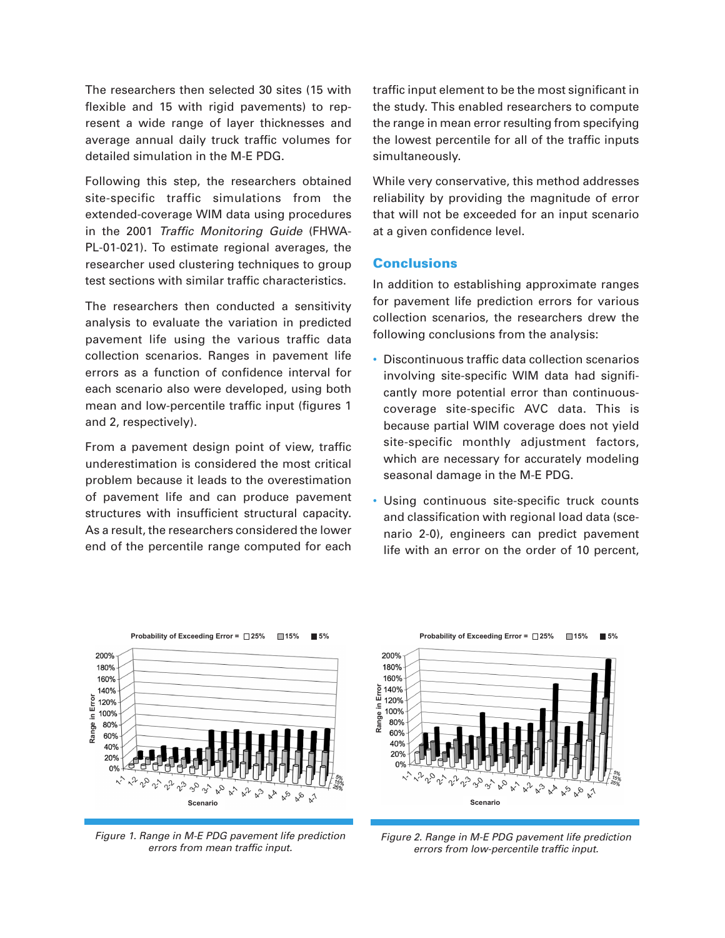The researchers then selected 30 sites (15 with flexible and 15 with rigid pavements) to represent a wide range of layer thicknesses and average annual daily truck traffic volumes for detailed simulation in the M-E PDG.

Following this step, the researchers obtained site-specific traffic simulations from the extended-coverage WIM data using procedures in the 2001 Traffic Monitoring Guide (FHWA-PL-01-021). To estimate regional averages, the researcher used clustering techniques to group test sections with similar traffic characteristics.

The researchers then conducted a sensitivity analysis to evaluate the variation in predicted pavement life using the various traffic data collection scenarios. Ranges in pavement life errors as a function of confidence interval for each scenario also were developed, using both mean and low-percentile traffic input (figures 1 and 2, respectively).

From a pavement design point of view, traffic underestimation is considered the most critical problem because it leads to the overestimation of pavement life and can produce pavement structures with insufficient structural capacity. As a result, the researchers considered the lower end of the percentile range computed for each

traffic input element to be the most significant in the study. This enabled researchers to compute the range in mean error resulting from specifying the lowest percentile for all of the traffic inputs simultaneously.

While very conservative, this method addresses reliability by providing the magnitude of error that will not be exceeded for an input scenario at a given confidence level.

#### **Conclusions**

In addition to establishing approximate ranges for pavement life prediction errors for various collection scenarios, the researchers drew the following conclusions from the analysis:

- Discontinuous traffic data collection scenarios involving site-specific WIM data had significantly more potential error than continuouscoverage site-specific AVC data. This is because partial WIM coverage does not yield site-specific monthly adjustment factors, which are necessary for accurately modeling seasonal damage in the M-E PDG.
- Using continuous site-specific truck counts and classification with regional load data (scenario 2-0), engineers can predict pavement life with an error on the order of 10 percent,



Figure 1. Range in M-E PDG pavement life prediction errors from mean traffic input.



Figure 2. Range in M-E PDG pavement life prediction errors from low-percentile traffic input.